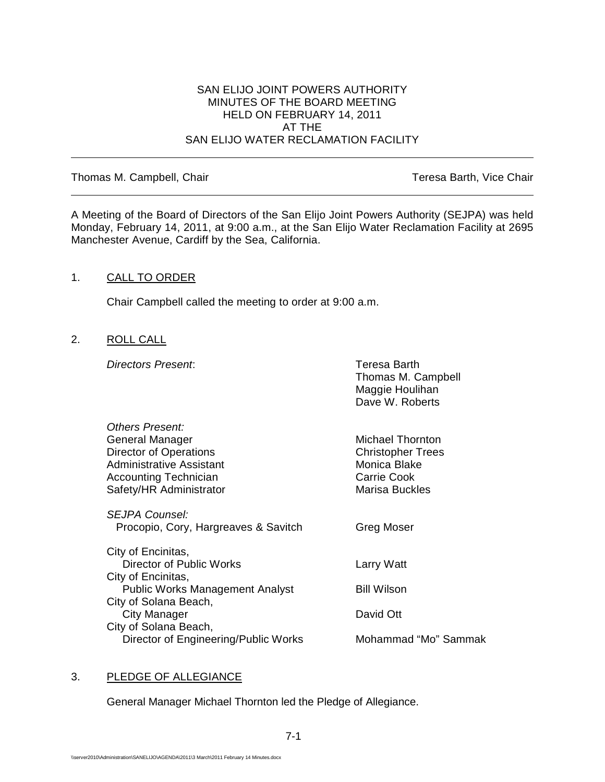## SAN ELIJO JOINT POWERS AUTHORITY MINUTES OF THE BOARD MEETING HELD ON FEBRUARY 14, 2011 AT THE SAN ELIJO WATER RECLAMATION FACILITY

### Thomas M. Campbell, Chair Thomas M. Campbell, Chair

A Meeting of the Board of Directors of the San Elijo Joint Powers Authority (SEJPA) was held Monday, February 14, 2011, at 9:00 a.m., at the San Elijo Water Reclamation Facility at 2695 Manchester Avenue, Cardiff by the Sea, California.

### 1. CALL TO ORDER

Chair Campbell called the meeting to order at 9:00 a.m.

### 2. ROLL CALL

*Directors Present*: Teresa Barth

| Thomas M. Campbell   |
|----------------------|
|                      |
|                      |
|                      |
|                      |
| Mohammad "Mo" Sammak |
|                      |

### 3. PLEDGE OF ALLEGIANCE

General Manager Michael Thornton led the Pledge of Allegiance.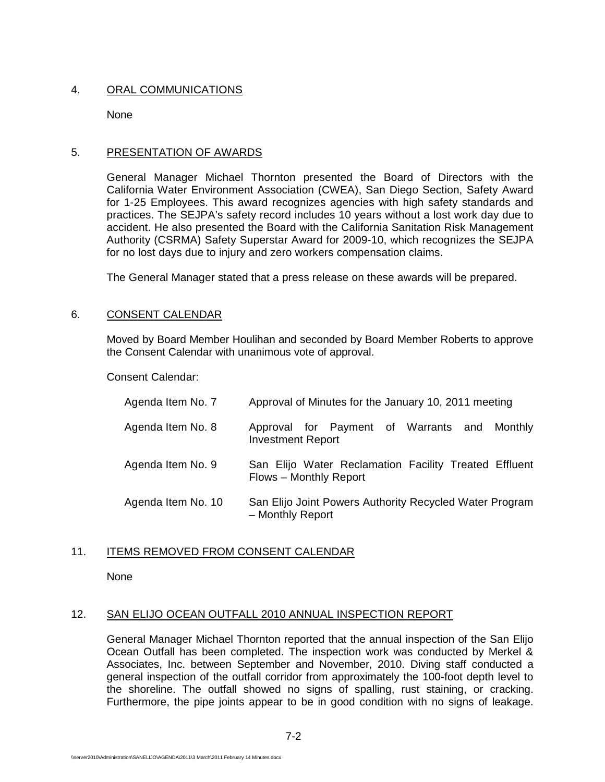# 4. ORAL COMMUNICATIONS

None

# 5. PRESENTATION OF AWARDS

General Manager Michael Thornton presented the Board of Directors with the California Water Environment Association (CWEA), San Diego Section, Safety Award for 1-25 Employees. This award recognizes agencies with high safety standards and practices. The SEJPA's safety record includes 10 years without a lost work day due to accident. He also presented the Board with the California Sanitation Risk Management Authority (CSRMA) Safety Superstar Award for 2009-10, which recognizes the SEJPA for no lost days due to injury and zero workers compensation claims.

The General Manager stated that a press release on these awards will be prepared.

# 6. CONSENT CALENDAR

Moved by Board Member Houlihan and seconded by Board Member Roberts to approve the Consent Calendar with unanimous vote of approval.

Consent Calendar:

| Agenda Item No. 7  | Approval of Minutes for the January 10, 2011 meeting                            |
|--------------------|---------------------------------------------------------------------------------|
| Agenda Item No. 8  | Approval for Payment of Warrants and Monthly<br><b>Investment Report</b>        |
| Agenda Item No. 9  | San Elijo Water Reclamation Facility Treated Effluent<br>Flows - Monthly Report |
| Agenda Item No. 10 | San Elijo Joint Powers Authority Recycled Water Program<br>- Monthly Report     |

# 11. ITEMS REMOVED FROM CONSENT CALENDAR

None

## 12. SAN ELIJO OCEAN OUTFALL 2010 ANNUAL INSPECTION REPORT

General Manager Michael Thornton reported that the annual inspection of the San Elijo Ocean Outfall has been completed. The inspection work was conducted by Merkel & Associates, Inc. between September and November, 2010. Diving staff conducted a general inspection of the outfall corridor from approximately the 100-foot depth level to the shoreline. The outfall showed no signs of spalling, rust staining, or cracking. Furthermore, the pipe joints appear to be in good condition with no signs of leakage.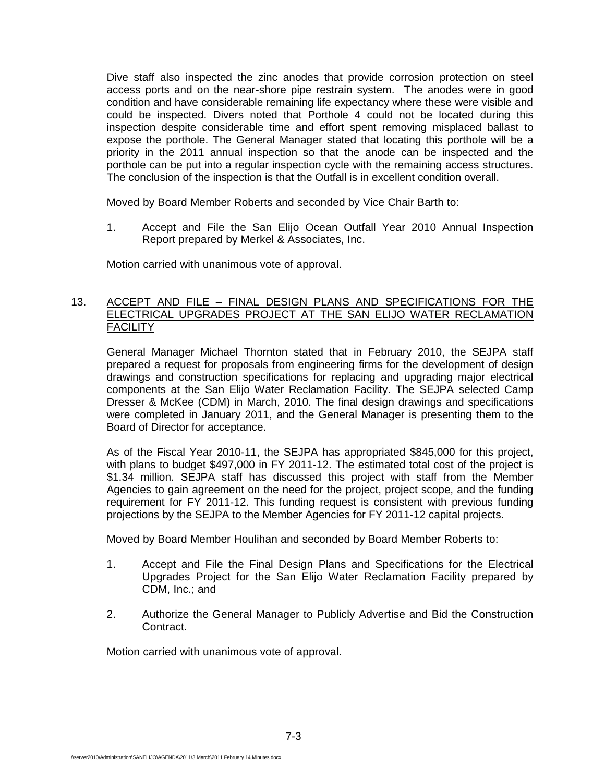Dive staff also inspected the zinc anodes that provide corrosion protection on steel access ports and on the near-shore pipe restrain system. The anodes were in good condition and have considerable remaining life expectancy where these were visible and could be inspected. Divers noted that Porthole 4 could not be located during this inspection despite considerable time and effort spent removing misplaced ballast to expose the porthole. The General Manager stated that locating this porthole will be a priority in the 2011 annual inspection so that the anode can be inspected and the porthole can be put into a regular inspection cycle with the remaining access structures. The conclusion of the inspection is that the Outfall is in excellent condition overall.

Moved by Board Member Roberts and seconded by Vice Chair Barth to:

1. Accept and File the San Elijo Ocean Outfall Year 2010 Annual Inspection Report prepared by Merkel & Associates, Inc.

Motion carried with unanimous vote of approval.

## 13. ACCEPT AND FILE – FINAL DESIGN PLANS AND SPECIFICATIONS FOR THE ELECTRICAL UPGRADES PROJECT AT THE SAN ELIJO WATER RECLAMATION **FACILITY**

General Manager Michael Thornton stated that in February 2010, the SEJPA staff prepared a request for proposals from engineering firms for the development of design drawings and construction specifications for replacing and upgrading major electrical components at the San Elijo Water Reclamation Facility. The SEJPA selected Camp Dresser & McKee (CDM) in March, 2010. The final design drawings and specifications were completed in January 2011, and the General Manager is presenting them to the Board of Director for acceptance.

As of the Fiscal Year 2010-11, the SEJPA has appropriated \$845,000 for this project, with plans to budget \$497,000 in FY 2011-12. The estimated total cost of the project is \$1.34 million. SEJPA staff has discussed this project with staff from the Member Agencies to gain agreement on the need for the project, project scope, and the funding requirement for FY 2011-12. This funding request is consistent with previous funding projections by the SEJPA to the Member Agencies for FY 2011-12 capital projects.

Moved by Board Member Houlihan and seconded by Board Member Roberts to:

- 1. Accept and File the Final Design Plans and Specifications for the Electrical Upgrades Project for the San Elijo Water Reclamation Facility prepared by CDM, Inc.; and
- 2. Authorize the General Manager to Publicly Advertise and Bid the Construction Contract.

Motion carried with unanimous vote of approval.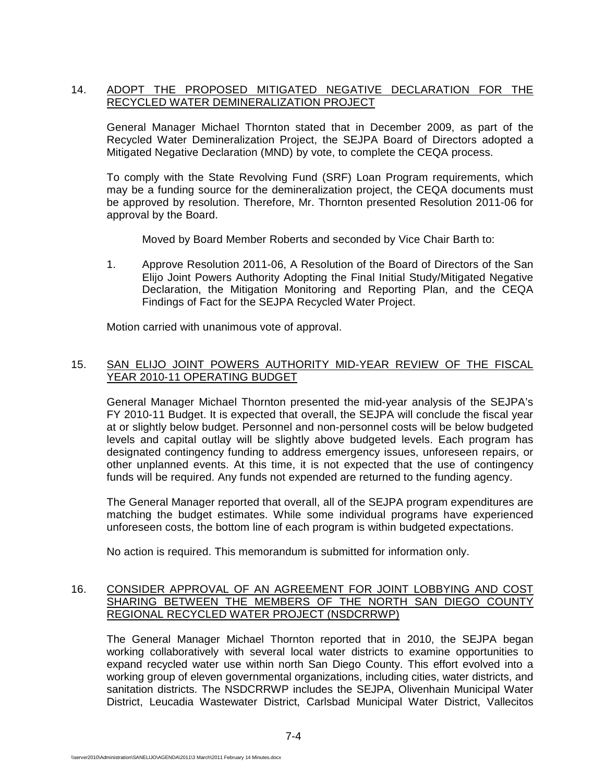# 14. ADOPT THE PROPOSED MITIGATED NEGATIVE DECLARATION FOR THE RECYCLED WATER DEMINERALIZATION PROJECT

General Manager Michael Thornton stated that in December 2009, as part of the Recycled Water Demineralization Project, the SEJPA Board of Directors adopted a Mitigated Negative Declaration (MND) by vote, to complete the CEQA process.

To comply with the State Revolving Fund (SRF) Loan Program requirements, which may be a funding source for the demineralization project, the CEQA documents must be approved by resolution. Therefore, Mr. Thornton presented Resolution 2011-06 for approval by the Board.

Moved by Board Member Roberts and seconded by Vice Chair Barth to:

1. Approve Resolution 2011-06, A Resolution of the Board of Directors of the San Elijo Joint Powers Authority Adopting the Final Initial Study/Mitigated Negative Declaration, the Mitigation Monitoring and Reporting Plan, and the CEQA Findings of Fact for the SEJPA Recycled Water Project.

Motion carried with unanimous vote of approval.

# 15. SAN ELIJO JOINT POWERS AUTHORITY MID-YEAR REVIEW OF THE FISCAL YEAR 2010-11 OPERATING BUDGET

General Manager Michael Thornton presented the mid-year analysis of the SEJPA's FY 2010-11 Budget. It is expected that overall, the SEJPA will conclude the fiscal year at or slightly below budget. Personnel and non-personnel costs will be below budgeted levels and capital outlay will be slightly above budgeted levels. Each program has designated contingency funding to address emergency issues, unforeseen repairs, or other unplanned events. At this time, it is not expected that the use of contingency funds will be required. Any funds not expended are returned to the funding agency.

The General Manager reported that overall, all of the SEJPA program expenditures are matching the budget estimates. While some individual programs have experienced unforeseen costs, the bottom line of each program is within budgeted expectations.

No action is required. This memorandum is submitted for information only.

# 16. CONSIDER APPROVAL OF AN AGREEMENT FOR JOINT LOBBYING AND COST SHARING BETWEEN THE MEMBERS OF THE NORTH SAN DIEGO COUNTY REGIONAL RECYCLED WATER PROJECT (NSDCRRWP)

The General Manager Michael Thornton reported that in 2010, the SEJPA began working collaboratively with several local water districts to examine opportunities to expand recycled water use within north San Diego County. This effort evolved into a working group of eleven governmental organizations, including cities, water districts, and sanitation districts. The NSDCRRWP includes the SEJPA, Olivenhain Municipal Water District, Leucadia Wastewater District, Carlsbad Municipal Water District, Vallecitos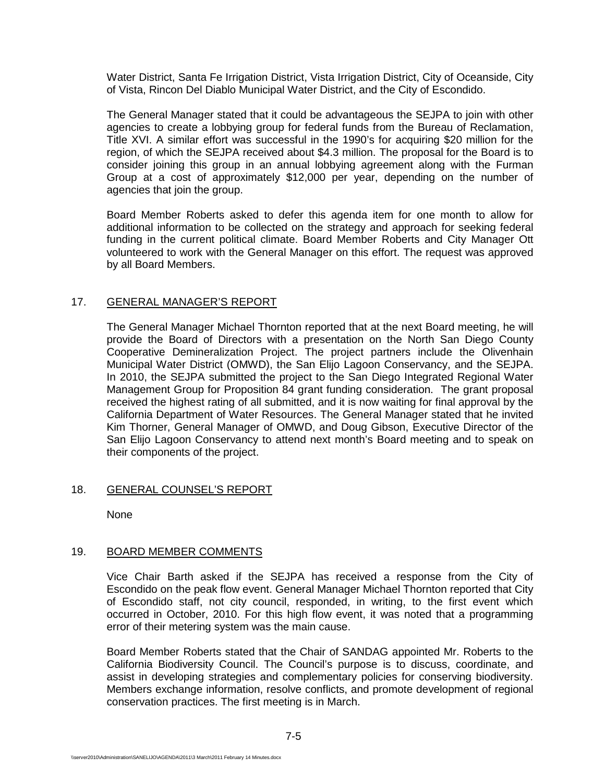Water District, Santa Fe Irrigation District, Vista Irrigation District, City of Oceanside, City of Vista, Rincon Del Diablo Municipal Water District, and the City of Escondido.

The General Manager stated that it could be advantageous the SEJPA to join with other agencies to create a lobbying group for federal funds from the Bureau of Reclamation, Title XVI. A similar effort was successful in the 1990's for acquiring \$20 million for the region, of which the SEJPA received about \$4.3 million. The proposal for the Board is to consider joining this group in an annual lobbying agreement along with the Furman Group at a cost of approximately \$12,000 per year, depending on the number of agencies that join the group.

Board Member Roberts asked to defer this agenda item for one month to allow for additional information to be collected on the strategy and approach for seeking federal funding in the current political climate. Board Member Roberts and City Manager Ott volunteered to work with the General Manager on this effort. The request was approved by all Board Members.

### 17. GENERAL MANAGER'S REPORT

The General Manager Michael Thornton reported that at the next Board meeting, he will provide the Board of Directors with a presentation on the North San Diego County Cooperative Demineralization Project. The project partners include the Olivenhain Municipal Water District (OMWD), the San Elijo Lagoon Conservancy, and the SEJPA. In 2010, the SEJPA submitted the project to the San Diego Integrated Regional Water Management Group for Proposition 84 grant funding consideration. The grant proposal received the highest rating of all submitted, and it is now waiting for final approval by the California Department of Water Resources. The General Manager stated that he invited Kim Thorner, General Manager of OMWD, and Doug Gibson, Executive Director of the San Elijo Lagoon Conservancy to attend next month's Board meeting and to speak on their components of the project.

### 18. GENERAL COUNSEL'S REPORT

None

### 19. BOARD MEMBER COMMENTS

Vice Chair Barth asked if the SEJPA has received a response from the City of Escondido on the peak flow event. General Manager Michael Thornton reported that City of Escondido staff, not city council, responded, in writing, to the first event which occurred in October, 2010. For this high flow event, it was noted that a programming error of their metering system was the main cause.

Board Member Roberts stated that the Chair of SANDAG appointed Mr. Roberts to the California Biodiversity Council. The Council's purpose is to discuss, coordinate, and assist in developing strategies and complementary policies for conserving biodiversity. Members exchange information, resolve conflicts, and promote development of regional conservation practices. The first meeting is in March.